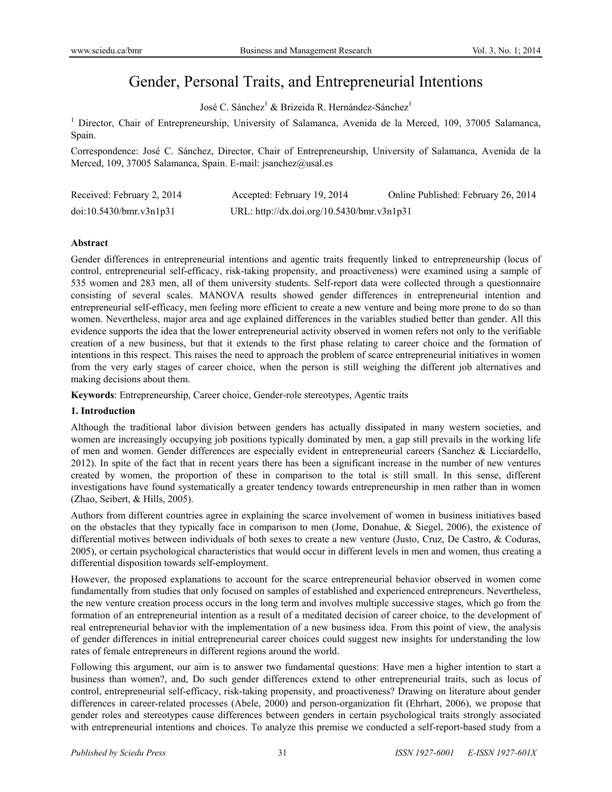# Gender, Personal Traits, and Entrepreneurial Intentions

José C. Sánchez<sup>1</sup> & Brizeida R. Hernández-Sánchez<sup>1</sup>

<sup>1</sup> Director, Chair of Entrepreneurship, University of Salamanca, Avenida de la Merced, 109, 37005 Salamanca, Spain.

Correspondence: José C. Sánchez, Director, Chair of Entrepreneurship, University of Salamanca, Avenida de la Merced, 109, 37005 Salamanca, Spain. E-mail: jsanchez@usal.es

| Received: February 2, 2014 | Accepted: February 19, 2014                | Online Published: February 26, 2014 |
|----------------------------|--------------------------------------------|-------------------------------------|
| doi:10.5430/bmr.v3n1p31    | URL: http://dx.doi.org/10.5430/bmr.v3n1p31 |                                     |

## **Abstract**

Gender differences in entrepreneurial intentions and agentic traits frequently linked to entrepreneurship (locus of control, entrepreneurial self-efficacy, risk-taking propensity, and proactiveness) were examined using a sample of 535 women and 283 men, all of them university students. Self-report data were collected through a questionnaire consisting of several scales. MANOVA results showed gender differences in entrepreneurial intention and entrepreneurial self-efficacy, men feeling more efficient to create a new venture and being more prone to do so than women. Nevertheless, major area and age explained differences in the variables studied better than gender. All this evidence supports the idea that the lower entrepreneurial activity observed in women refers not only to the verifiable creation of a new business, but that it extends to the first phase relating to career choice and the formation of intentions in this respect. This raises the need to approach the problem of scarce entrepreneurial initiatives in women from the very early stages of career choice, when the person is still weighing the different job alternatives and making decisions about them.

**Keywords**: Entrepreneurship, Career choice, Gender-role stereotypes, Agentic traits

## **1. Introduction**

Although the traditional labor division between genders has actually dissipated in many western societies, and women are increasingly occupying job positions typically dominated by men, a gap still prevails in the working life of men and women. Gender differences are especially evident in entrepreneurial careers (Sanchez & Licciardello, 2012). In spite of the fact that in recent years there has been a significant increase in the number of new ventures created by women, the proportion of these in comparison to the total is still small. In this sense, different investigations have found systematically a greater tendency towards entrepreneurship in men rather than in women (Zhao, Seibert, & Hills, 2005).

Authors from different countries agree in explaining the scarce involvement of women in business initiatives based on the obstacles that they typically face in comparison to men (Jome, Donahue, & Siegel, 2006), the existence of differential motives between individuals of both sexes to create a new venture (Justo, Cruz, De Castro, & Coduras, 2005), or certain psychological characteristics that would occur in different levels in men and women, thus creating a differential disposition towards self-employment.

However, the proposed explanations to account for the scarce entrepreneurial behavior observed in women come fundamentally from studies that only focused on samples of established and experienced entrepreneurs. Nevertheless, the new venture creation process occurs in the long term and involves multiple successive stages, which go from the formation of an entrepreneurial intention as a result of a meditated decision of career choice, to the development of real entrepreneurial behavior with the implementation of a new business idea. From this point of view, the analysis of gender differences in initial entrepreneurial career choices could suggest new insights for understanding the low rates of female entrepreneurs in different regions around the world.

Following this argument, our aim is to answer two fundamental questions: Have men a higher intention to start a business than women?, and, Do such gender differences extend to other entrepreneurial traits, such as locus of control, entrepreneurial self-efficacy, risk-taking propensity, and proactiveness? Drawing on literature about gender differences in career-related processes (Abele, 2000) and person-organization fit (Ehrhart, 2006), we propose that gender roles and stereotypes cause differences between genders in certain psychological traits strongly associated with entrepreneurial intentions and choices. To analyze this premise we conducted a self-report-based study from a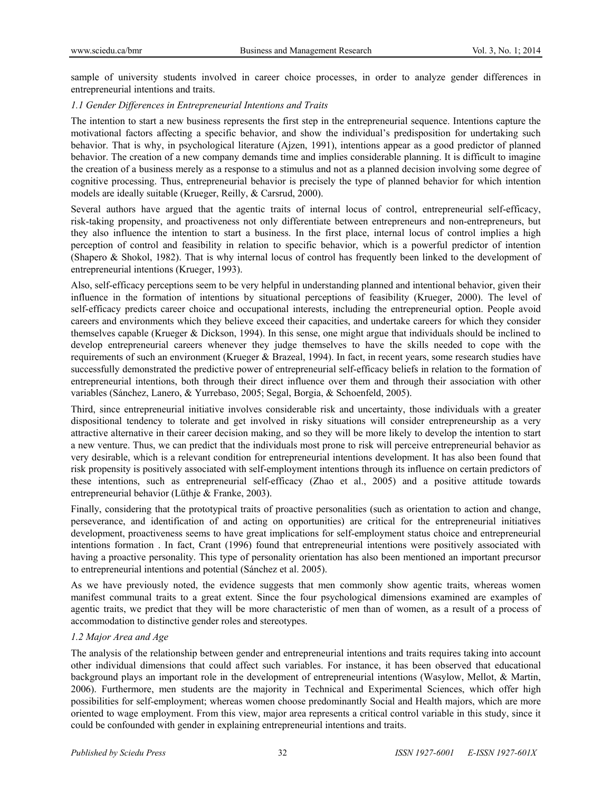sample of university students involved in career choice processes, in order to analyze gender differences in entrepreneurial intentions and traits.

#### *1.1 Gender Differences in Entrepreneurial Intentions and Traits*

The intention to start a new business represents the first step in the entrepreneurial sequence. Intentions capture the motivational factors affecting a specific behavior, and show the individual's predisposition for undertaking such behavior. That is why, in psychological literature (Ajzen, 1991), intentions appear as a good predictor of planned behavior. The creation of a new company demands time and implies considerable planning. It is difficult to imagine the creation of a business merely as a response to a stimulus and not as a planned decision involving some degree of cognitive processing. Thus, entrepreneurial behavior is precisely the type of planned behavior for which intention models are ideally suitable (Krueger, Reilly, & Carsrud, 2000).

Several authors have argued that the agentic traits of internal locus of control, entrepreneurial self-efficacy, risk-taking propensity, and proactiveness not only differentiate between entrepreneurs and non-entrepreneurs, but they also influence the intention to start a business. In the first place, internal locus of control implies a high perception of control and feasibility in relation to specific behavior, which is a powerful predictor of intention (Shapero & Shokol, 1982). That is why internal locus of control has frequently been linked to the development of entrepreneurial intentions (Krueger, 1993).

Also, self-efficacy perceptions seem to be very helpful in understanding planned and intentional behavior, given their influence in the formation of intentions by situational perceptions of feasibility (Krueger, 2000). The level of self-efficacy predicts career choice and occupational interests, including the entrepreneurial option. People avoid careers and environments which they believe exceed their capacities, and undertake careers for which they consider themselves capable (Krueger & Dickson, 1994). In this sense, one might argue that individuals should be inclined to develop entrepreneurial careers whenever they judge themselves to have the skills needed to cope with the requirements of such an environment (Krueger & Brazeal, 1994). In fact, in recent years, some research studies have successfully demonstrated the predictive power of entrepreneurial self-efficacy beliefs in relation to the formation of entrepreneurial intentions, both through their direct influence over them and through their association with other variables (Sánchez, Lanero, & Yurrebaso, 2005; Segal, Borgia, & Schoenfeld, 2005).

Third, since entrepreneurial initiative involves considerable risk and uncertainty, those individuals with a greater dispositional tendency to tolerate and get involved in risky situations will consider entrepreneurship as a very attractive alternative in their career decision making, and so they will be more likely to develop the intention to start a new venture. Thus, we can predict that the individuals most prone to risk will perceive entrepreneurial behavior as very desirable, which is a relevant condition for entrepreneurial intentions development. It has also been found that risk propensity is positively associated with self-employment intentions through its influence on certain predictors of these intentions, such as entrepreneurial self-efficacy (Zhao et al., 2005) and a positive attitude towards entrepreneurial behavior (Lüthje & Franke, 2003).

Finally, considering that the prototypical traits of proactive personalities (such as orientation to action and change, perseverance, and identification of and acting on opportunities) are critical for the entrepreneurial initiatives development, proactiveness seems to have great implications for self-employment status choice and entrepreneurial intentions formation . In fact, Crant (1996) found that entrepreneurial intentions were positively associated with having a proactive personality. This type of personality orientation has also been mentioned an important precursor to entrepreneurial intentions and potential (Sánchez et al. 2005).

As we have previously noted, the evidence suggests that men commonly show agentic traits, whereas women manifest communal traits to a great extent. Since the four psychological dimensions examined are examples of agentic traits, we predict that they will be more characteristic of men than of women, as a result of a process of accommodation to distinctive gender roles and stereotypes.

## *1.2 Major Area and Age*

The analysis of the relationship between gender and entrepreneurial intentions and traits requires taking into account other individual dimensions that could affect such variables. For instance, it has been observed that educational background plays an important role in the development of entrepreneurial intentions (Wasylow, Mellot, & Martin, 2006). Furthermore, men students are the majority in Technical and Experimental Sciences, which offer high possibilities for self-employment; whereas women choose predominantly Social and Health majors, which are more oriented to wage employment. From this view, major area represents a critical control variable in this study, since it could be confounded with gender in explaining entrepreneurial intentions and traits.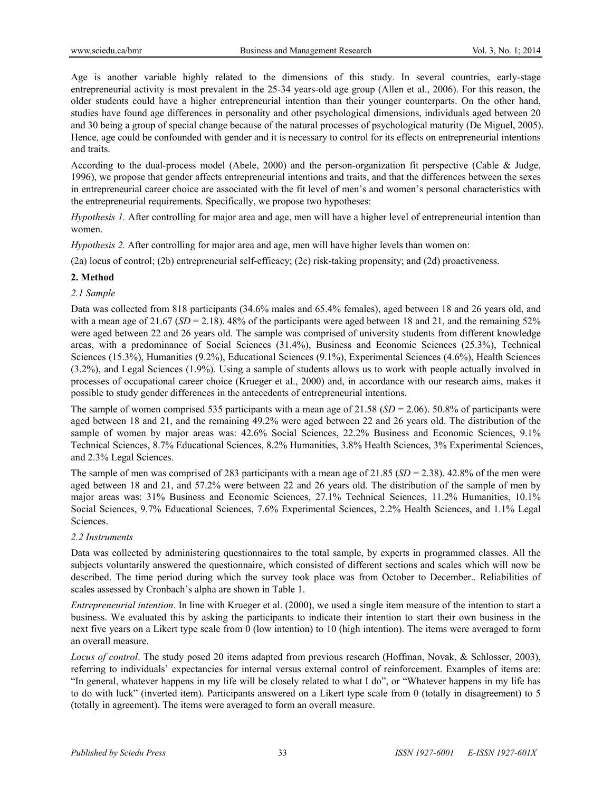Age is another variable highly related to the dimensions of this study. In several countries, early-stage entrepreneurial activity is most prevalent in the 25-34 years-old age group (Allen et al., 2006). For this reason, the older students could have a higher entrepreneurial intention than their younger counterparts. On the other hand, studies have found age differences in personality and other psychological dimensions, individuals aged between 20 and 30 being a group of special change because of the natural processes of psychological maturity (De Miguel, 2005). Hence, age could be confounded with gender and it is necessary to control for its effects on entrepreneurial intentions and traits.

According to the dual-process model (Abele, 2000) and the person-organization fit perspective (Cable & Judge, 1996), we propose that gender affects entrepreneurial intentions and traits, and that the differences between the sexes in entrepreneurial career choice are associated with the fit level of men's and women's personal characteristics with the entrepreneurial requirements. Specifically, we propose two hypotheses:

*Hypothesis 1.* After controlling for major area and age, men will have a higher level of entrepreneurial intention than women.

*Hypothesis 2.* After controlling for major area and age, men will have higher levels than women on:

(2a) locus of control; (2b) entrepreneurial self-efficacy; (2c) risk-taking propensity; and (2d) proactiveness.

# **2. Method**

# *2.1 Sample*

Data was collected from 818 participants (34.6% males and 65.4% females), aged between 18 and 26 years old, and with a mean age of  $21.67$  ( $SD = 2.18$ ). 48% of the participants were aged between 18 and 21, and the remaining 52% were aged between 22 and 26 years old. The sample was comprised of university students from different knowledge areas, with a predominance of Social Sciences (31.4%), Business and Economic Sciences (25.3%), Technical Sciences (15.3%), Humanities (9.2%), Educational Sciences (9.1%), Experimental Sciences (4.6%), Health Sciences (3.2%), and Legal Sciences (1.9%). Using a sample of students allows us to work with people actually involved in processes of occupational career choice (Krueger et al., 2000) and, in accordance with our research aims, makes it possible to study gender differences in the antecedents of entrepreneurial intentions.

The sample of women comprised 535 participants with a mean age of 21.58 (*SD* = 2.06). 50.8% of participants were aged between 18 and 21, and the remaining 49.2% were aged between 22 and 26 years old. The distribution of the sample of women by major areas was:  $42.6\%$  Social Sciences,  $22.2\%$  Business and Economic Sciences,  $9.1\%$ Technical Sciences, 8.7% Educational Sciences, 8.2% Humanities, 3.8% Health Sciences, 3% Experimental Sciences, and 2.3% Legal Sciences.

The sample of men was comprised of 283 participants with a mean age of 21.85 (*SD* = 2.38). 42.8% of the men were aged between 18 and 21, and 57.2% were between 22 and 26 years old. The distribution of the sample of men by major areas was: 31% Business and Economic Sciences, 27.1% Technical Sciences, 11.2% Humanities, 10.1% Social Sciences, 9.7% Educational Sciences, 7.6% Experimental Sciences, 2.2% Health Sciences, and 1.1% Legal **Sciences** 

## *2.2 Instruments*

Data was collected by administering questionnaires to the total sample, by experts in programmed classes. All the subjects voluntarily answered the questionnaire, which consisted of different sections and scales which will now be described. The time period during which the survey took place was from October to December.. Reliabilities of scales assessed by Cronbach's alpha are shown in Table 1.

*Entrepreneurial intention*. In line with Krueger et al. (2000), we used a single item measure of the intention to start a business. We evaluated this by asking the participants to indicate their intention to start their own business in the next five years on a Likert type scale from 0 (low intention) to 10 (high intention). The items were averaged to form an overall measure.

*Locus of control*. The study posed 20 items adapted from previous research (Hoffman, Novak, & Schlosser, 2003), referring to individuals' expectancies for internal versus external control of reinforcement. Examples of items are: "In general, whatever happens in my life will be closely related to what I do", or "Whatever happens in my life has to do with luck" (inverted item). Participants answered on a Likert type scale from 0 (totally in disagreement) to 5 (totally in agreement). The items were averaged to form an overall measure.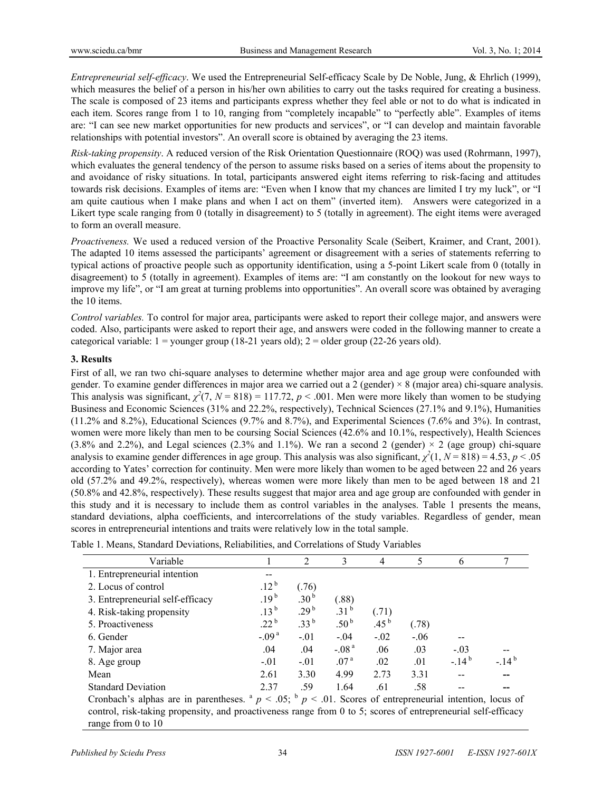*Entrepreneurial self-efficacy*. We used the Entrepreneurial Self-efficacy Scale by De Noble, Jung, & Ehrlich (1999), which measures the belief of a person in his/her own abilities to carry out the tasks required for creating a business. The scale is composed of 23 items and participants express whether they feel able or not to do what is indicated in each item. Scores range from 1 to 10, ranging from "completely incapable" to "perfectly able". Examples of items are: "I can see new market opportunities for new products and services", or "I can develop and maintain favorable relationships with potential investors". An overall score is obtained by averaging the 23 items.

*Risk-taking propensity*. A reduced version of the Risk Orientation Questionnaire (ROQ) was used (Rohrmann, 1997), which evaluates the general tendency of the person to assume risks based on a series of items about the propensity to and avoidance of risky situations. In total, participants answered eight items referring to risk-facing and attitudes towards risk decisions. Examples of items are: "Even when I know that my chances are limited I try my luck", or "I am quite cautious when I make plans and when I act on them" (inverted item). Answers were categorized in a Likert type scale ranging from 0 (totally in disagreement) to 5 (totally in agreement). The eight items were averaged to form an overall measure.

*Proactiveness.* We used a reduced version of the Proactive Personality Scale (Seibert, Kraimer, and Crant, 2001). The adapted 10 items assessed the participants' agreement or disagreement with a series of statements referring to typical actions of proactive people such as opportunity identification, using a 5-point Likert scale from 0 (totally in disagreement) to 5 (totally in agreement). Examples of items are: "I am constantly on the lookout for new ways to improve my life", or "I am great at turning problems into opportunities". An overall score was obtained by averaging the 10 items.

*Control variables.* To control for major area, participants were asked to report their college major, and answers were coded. Also, participants were asked to report their age, and answers were coded in the following manner to create a categorical variable:  $1 =$ younger group (18-21 years old);  $2 =$  older group (22-26 years old).

# **3. Results**

First of all, we ran two chi-square analyses to determine whether major area and age group were confounded with gender. To examine gender differences in major area we carried out a 2 (gender) × 8 (major area) chi-square analysis. This analysis was significant,  $\chi^2(7, N = 818) = 117.72$ ,  $p < .001$ . Men were more likely than women to be studying Business and Economic Sciences (31% and 22.2%, respectively), Technical Sciences (27.1% and 9.1%), Humanities (11.2% and 8.2%), Educational Sciences (9.7% and 8.7%), and Experimental Sciences (7.6% and 3%). In contrast, women were more likely than men to be coursing Social Sciences (42.6% and 10.1%, respectively), Health Sciences (3.8% and 2.2%), and Legal sciences (2.3% and 1.1%). We ran a second 2 (gender)  $\times$  2 (age group) chi-square analysis to examine gender differences in age group. This analysis was also significant,  $\chi^2(1, N = 818) = 4.53$ ,  $p < .05$ according to Yates' correction for continuity. Men were more likely than women to be aged between 22 and 26 years old (57.2% and 49.2%, respectively), whereas women were more likely than men to be aged between 18 and 21 (50.8% and 42.8%, respectively). These results suggest that major area and age group are confounded with gender in this study and it is necessary to include them as control variables in the analyses. Table 1 presents the means, standard deviations, alpha coefficients, and intercorrelations of the study variables. Regardless of gender, mean scores in entrepreneurial intentions and traits were relatively low in the total sample.

| Variable                                                |                  | 2                | 3                | 4                | 5      | 6                                                             |           |
|---------------------------------------------------------|------------------|------------------|------------------|------------------|--------|---------------------------------------------------------------|-----------|
| 1. Entrepreneurial intention                            |                  |                  |                  |                  |        |                                                               |           |
| 2. Locus of control                                     | $.12^{b}$        | (76)             |                  |                  |        |                                                               |           |
| 3. Entrepreneurial self-efficacy                        | $.19^{b}$        | .30 <sup>b</sup> | (.88)            |                  |        |                                                               |           |
| 4. Risk-taking propensity                               | $.13^{b}$        | 29 <sup>b</sup>  | .31 <sup>b</sup> | (.71)            |        |                                                               |           |
| 5. Proactiveness                                        | .22 <sup>b</sup> | .33 <sup>b</sup> | .50 $^{\rm b}$   | .45 <sup>b</sup> | (.78)  |                                                               |           |
| 6. Gender                                               | $-.09a$          | $-.01$           | $-.04$           | $-.02$           | $-.06$ |                                                               |           |
| 7. Major area                                           | .04              | .04              | $-.08a$          | .06              | .03    | $-.03$                                                        |           |
| 8. Age group                                            | $-.01$           | $-.01$           | .07 <sup>a</sup> | .02              | .01    | $-14^{b}$                                                     | $-14^{b}$ |
| Mean                                                    | 2.61             | 3.30             | 4.99             | 2.73             | 3.31   | --                                                            |           |
| <b>Standard Deviation</b>                               | 2.37             | .59              | 1.64             | .61              | .58    |                                                               |           |
| Cronbach's alphas are in parentheses. $a_{p} < .05$ ; b |                  |                  |                  |                  |        | $n \leq 0.01$ . Scores of entrepreneurial intention. locus of |           |

Table 1. Means, Standard Deviations, Reliabilities, and Correlations of Study Variables

Cronbach's alphas are in parentheses.  $a \neq 0.05$ ;  $b \neq 0.01$ . Scores of entrepreneurial intention, locus of control, risk-taking propensity, and proactiveness range from 0 to 5; scores of entrepreneurial self-efficacy range from 0 to 10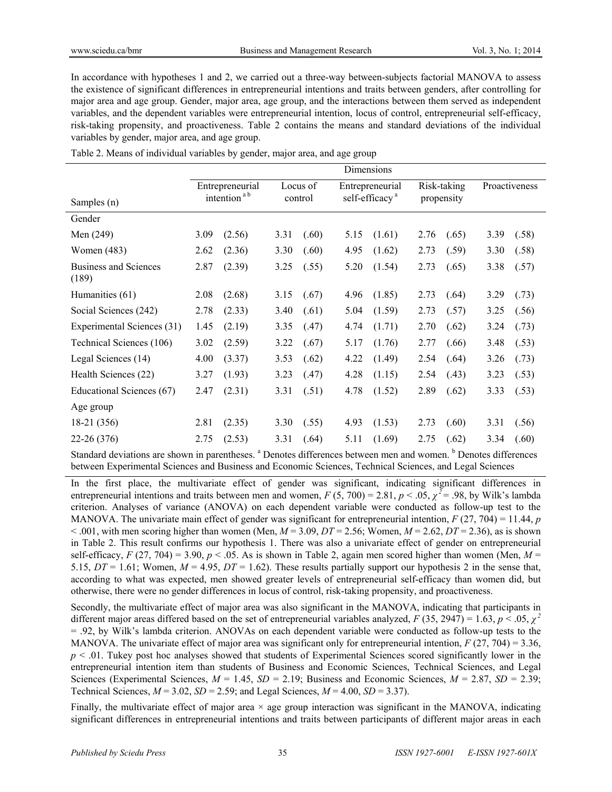In accordance with hypotheses 1 and 2, we carried out a three-way between-subjects factorial MANOVA to assess the existence of significant differences in entrepreneurial intentions and traits between genders, after controlling for major area and age group. Gender, major area, age group, and the interactions between them served as independent variables, and the dependent variables were entrepreneurial intention, locus of control, entrepreneurial self-efficacy, risk-taking propensity, and proactiveness. Table 2 contains the means and standard deviations of the individual variables by gender, major area, and age group.

|                                       | Dimensions              |                 |          |       |                            |        |             |       |               |       |
|---------------------------------------|-------------------------|-----------------|----------|-------|----------------------------|--------|-------------|-------|---------------|-------|
|                                       |                         | Entrepreneurial | Locus of |       | Entrepreneurial            |        | Risk-taking |       | Proactiveness |       |
| Samples (n)                           | intention <sup>ab</sup> |                 | control  |       | self-efficacy <sup>a</sup> |        | propensity  |       |               |       |
| Gender                                |                         |                 |          |       |                            |        |             |       |               |       |
| Men (249)                             | 3.09                    | (2.56)          | 3.31     | (.60) | 5.15                       | (1.61) | 2.76        | (.65) | 3.39          | (.58) |
| <b>Women</b> (483)                    | 2.62                    | (2.36)          | 3.30     | (.60) | 4.95                       | (1.62) | 2.73        | (.59) | 3.30          | (.58) |
| <b>Business and Sciences</b><br>(189) | 2.87                    | (2.39)          | 3.25     | (.55) | 5.20                       | (1.54) | 2.73        | (.65) | 3.38          | (.57) |
| Humanities (61)                       | 2.08                    | (2.68)          | 3.15     | (.67) | 4.96                       | (1.85) | 2.73        | (.64) | 3.29          | (.73) |
| Social Sciences (242)                 | 2.78                    | (2.33)          | 3.40     | (.61) | 5.04                       | (1.59) | 2.73        | (.57) | 3.25          | (.56) |
| Experimental Sciences (31)            | 1.45                    | (2.19)          | 3.35     | (.47) | 4.74                       | (1.71) | 2.70        | (.62) | 3.24          | (.73) |
| Technical Sciences (106)              | 3.02                    | (2.59)          | 3.22     | (.67) | 5.17                       | (1.76) | 2.77        | (.66) | 3.48          | (.53) |
| Legal Sciences (14)                   | 4.00                    | (3.37)          | 3.53     | (.62) | 4.22                       | (1.49) | 2.54        | (.64) | 3.26          | (.73) |
| Health Sciences (22)                  | 3.27                    | (1.93)          | 3.23     | (.47) | 4.28                       | (1.15) | 2.54        | (.43) | 3.23          | (.53) |
| Educational Sciences (67)             | 2.47                    | (2.31)          | 3.31     | (.51) | 4.78                       | (1.52) | 2.89        | (.62) | 3.33          | (.53) |
| Age group                             |                         |                 |          |       |                            |        |             |       |               |       |
| 18-21 (356)                           | 2.81                    | (2.35)          | 3.30     | (.55) | 4.93                       | (1.53) | 2.73        | (.60) | 3.31          | (.56) |
| 22-26 (376)                           | 2.75                    | (2.53)          | 3.31     | (.64) | 5.11                       | (1.69) | 2.75        | (.62) | 3.34          | (.60) |

Table 2. Means of individual variables by gender, major area, and age group

Standard deviations are shown in parentheses. <sup>a</sup> Denotes differences between men and women. <sup>b</sup> Denotes differences between Experimental Sciences and Business and Economic Sciences, Technical Sciences, and Legal Sciences

In the first place, the multivariate effect of gender was significant, indicating significant differences in entrepreneurial intentions and traits between men and women,  $F (5, 700) = 2.81, p < .05, \chi^2 = .98$ , by Wilk's lambda criterion. Analyses of variance (ANOVA) on each dependent variable were conducted as follow-up test to the MANOVA. The univariate main effect of gender was significant for entrepreneurial intention, *F* (27, 704) = 11.44, *p*   $< .001$ , with men scoring higher than women (Men,  $M = 3.09$ ,  $DT = 2.56$ ; Women,  $M = 2.62$ ,  $DT = 2.36$ ), as is shown in Table 2. This result confirms our hypothesis 1. There was also a univariate effect of gender on entrepreneurial self-efficacy,  $F(27, 704) = 3.90$ ,  $p < .05$ . As is shown in Table 2, again men scored higher than women (Men,  $M =$ 5.15,  $DT = 1.61$ ; Women,  $M = 4.95$ ,  $DT = 1.62$ ). These results partially support our hypothesis 2 in the sense that, according to what was expected, men showed greater levels of entrepreneurial self-efficacy than women did, but otherwise, there were no gender differences in locus of control, risk-taking propensity, and proactiveness.

Secondly, the multivariate effect of major area was also significant in the MANOVA, indicating that participants in different major areas differed based on the set of entrepreneurial variables analyzed,  $F(35, 2947) = 1.63$ ,  $p < .05$ ,  $\chi^2$ = .92, by Wilk's lambda criterion. ANOVAs on each dependent variable were conducted as follow-up tests to the MANOVA. The univariate effect of major area was significant only for entrepreneurial intention, *F* (27, 704) = 3.36, *p* < .01. Tukey post hoc analyses showed that students of Experimental Sciences scored significantly lower in the entrepreneurial intention item than students of Business and Economic Sciences, Technical Sciences, and Legal Sciences (Experimental Sciences,  $M = 1.45$ ,  $SD = 2.19$ ; Business and Economic Sciences,  $M = 2.87$ ,  $SD = 2.39$ ; Technical Sciences,  $M = 3.02$ ,  $SD = 2.59$ ; and Legal Sciences,  $M = 4.00$ ,  $SD = 3.37$ ).

Finally, the multivariate effect of major area  $\times$  age group interaction was significant in the MANOVA, indicating significant differences in entrepreneurial intentions and traits between participants of different major areas in each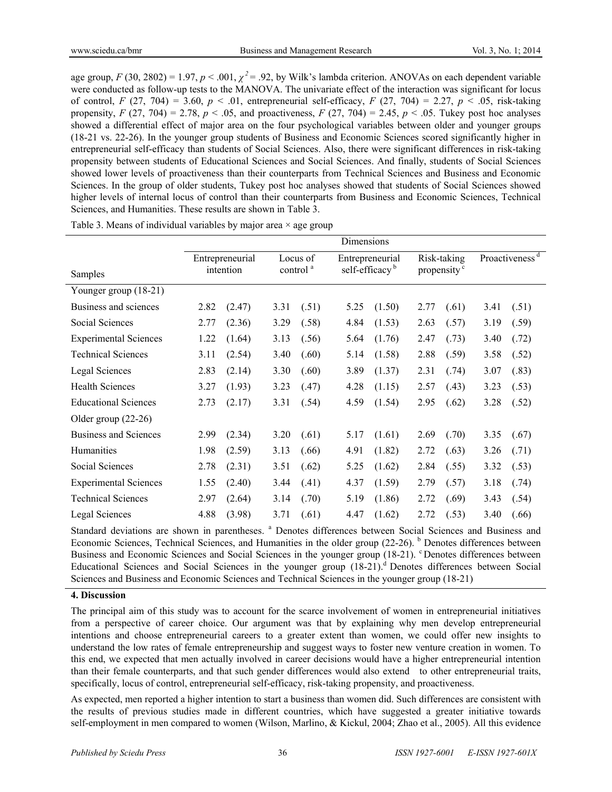age group,  $F(30, 2802) = 1.97$ ,  $p < .001$ ,  $\chi^2 = .92$ , by Wilk's lambda criterion. ANOVAs on each dependent variable were conducted as follow-up tests to the MANOVA. The univariate effect of the interaction was significant for locus of control, *F* (27, 704) = 3.60,  $p < .01$ , entrepreneurial self-efficacy, *F* (27, 704) = 2.27,  $p < .05$ , risk-taking propensity,  $F(27, 704) = 2.78$ ,  $p < .05$ , and proactiveness,  $F(27, 704) = 2.45$ ,  $p < .05$ . Tukey post hoc analyses showed a differential effect of major area on the four psychological variables between older and younger groups (18-21 vs. 22-26). In the younger group students of Business and Economic Sciences scored significantly higher in entrepreneurial self-efficacy than students of Social Sciences. Also, there were significant differences in risk-taking propensity between students of Educational Sciences and Social Sciences. And finally, students of Social Sciences showed lower levels of proactiveness than their counterparts from Technical Sciences and Business and Economic Sciences. In the group of older students, Tukey post hoc analyses showed that students of Social Sciences showed higher levels of internal locus of control than their counterparts from Business and Economic Sciences, Technical Sciences, and Humanities. These results are shown in Table 3.

|                              | Dimensions |                                                                  |      |                                               |      |                                        |      |                            |      |       |
|------------------------------|------------|------------------------------------------------------------------|------|-----------------------------------------------|------|----------------------------------------|------|----------------------------|------|-------|
| Samples                      |            | Entrepreneurial<br>Locus of<br>control <sup>a</sup><br>intention |      | Entrepreneurial<br>self-efficacy <sup>b</sup> |      | Risk-taking<br>propensity <sup>c</sup> |      | Proactiveness <sup>d</sup> |      |       |
|                              |            |                                                                  |      |                                               |      |                                        |      |                            |      |       |
| Younger group (18-21)        |            |                                                                  |      |                                               |      |                                        |      |                            |      |       |
| Business and sciences        | 2.82       | (2.47)                                                           | 3.31 | (.51)                                         | 5.25 | (1.50)                                 | 2.77 | (.61)                      | 3.41 | (.51) |
| Social Sciences              | 2.77       | (2.36)                                                           | 3.29 | (.58)                                         | 4.84 | (1.53)                                 | 2.63 | (.57)                      | 3.19 | (.59) |
| <b>Experimental Sciences</b> | 1.22       | (1.64)                                                           | 3.13 | (.56)                                         | 5.64 | (1.76)                                 | 2.47 | (.73)                      | 3.40 | (.72) |
| <b>Technical Sciences</b>    | 3.11       | (2.54)                                                           | 3.40 | (.60)                                         | 5.14 | (1.58)                                 | 2.88 | (.59)                      | 3.58 | (.52) |
| <b>Legal Sciences</b>        | 2.83       | (2.14)                                                           | 3.30 | (.60)                                         | 3.89 | (1.37)                                 | 2.31 | (.74)                      | 3.07 | (.83) |
| <b>Health Sciences</b>       | 3.27       | (1.93)                                                           | 3.23 | (.47)                                         | 4.28 | (1.15)                                 | 2.57 | (.43)                      | 3.23 | (.53) |
| <b>Educational Sciences</b>  | 2.73       | (2.17)                                                           | 3.31 | (.54)                                         | 4.59 | (1.54)                                 | 2.95 | (.62)                      | 3.28 | (.52) |
| Older group $(22-26)$        |            |                                                                  |      |                                               |      |                                        |      |                            |      |       |
| <b>Business and Sciences</b> | 2.99       | (2.34)                                                           | 3.20 | (.61)                                         | 5.17 | (1.61)                                 | 2.69 | (.70)                      | 3.35 | (.67) |
| Humanities                   | 1.98       | (2.59)                                                           | 3.13 | (.66)                                         | 4.91 | (1.82)                                 | 2.72 | (.63)                      | 3.26 | (.71) |
| Social Sciences              | 2.78       | (2.31)                                                           | 3.51 | (.62)                                         | 5.25 | (1.62)                                 | 2.84 | (.55)                      | 3.32 | (.53) |
| <b>Experimental Sciences</b> | 1.55       | (2.40)                                                           | 3.44 | (.41)                                         | 4.37 | (1.59)                                 | 2.79 | (.57)                      | 3.18 | (.74) |
| <b>Technical Sciences</b>    | 2.97       | (2.64)                                                           | 3.14 | (.70)                                         | 5.19 | (1.86)                                 | 2.72 | (.69)                      | 3.43 | (.54) |
| Legal Sciences               | 4.88       | (3.98)                                                           | 3.71 | (.61)                                         | 4.47 | (1.62)                                 | 2.72 | (.53)                      | 3.40 | (.66) |

Table 3. Means of individual variables by major area  $\times$  age group

Standard deviations are shown in parentheses. <sup>a</sup> Denotes differences between Social Sciences and Business and Economic Sciences, Technical Sciences, and Humanities in the older group (22-26). <sup>b</sup> Denotes differences between Business and Economic Sciences and Social Sciences in the younger group (18-21). <sup>c</sup> Denotes differences between Educational Sciences and Social Sciences in the younger group (18-21).<sup>d</sup> Denotes differences between Social Sciences and Business and Economic Sciences and Technical Sciences in the younger group (18-21)

# **4. Discussion**

The principal aim of this study was to account for the scarce involvement of women in entrepreneurial initiatives from a perspective of career choice. Our argument was that by explaining why men develop entrepreneurial intentions and choose entrepreneurial careers to a greater extent than women, we could offer new insights to understand the low rates of female entrepreneurship and suggest ways to foster new venture creation in women. To this end, we expected that men actually involved in career decisions would have a higher entrepreneurial intention than their female counterparts, and that such gender differences would also extend to other entrepreneurial traits, specifically, locus of control, entrepreneurial self-efficacy, risk-taking propensity, and proactiveness.

As expected, men reported a higher intention to start a business than women did. Such differences are consistent with the results of previous studies made in different countries, which have suggested a greater initiative towards self-employment in men compared to women (Wilson, Marlino, & Kickul, 2004; Zhao et al., 2005). All this evidence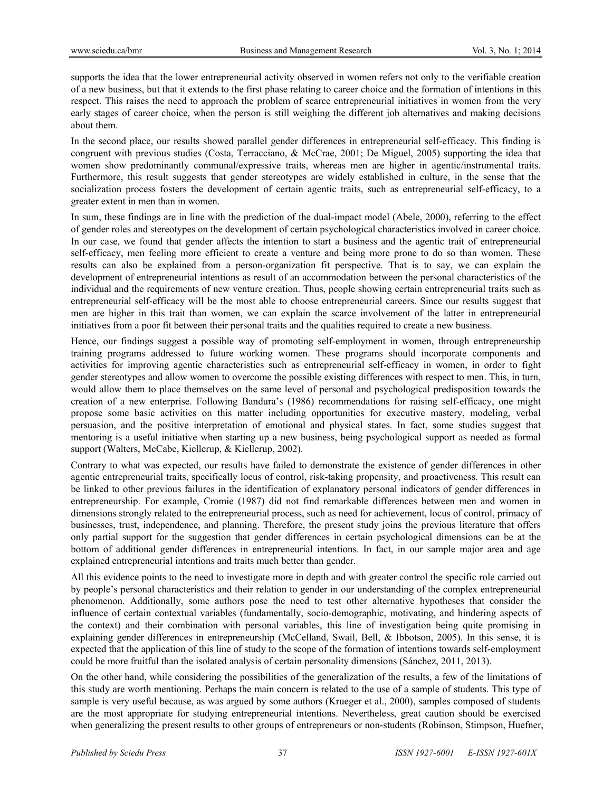supports the idea that the lower entrepreneurial activity observed in women refers not only to the verifiable creation of a new business, but that it extends to the first phase relating to career choice and the formation of intentions in this respect. This raises the need to approach the problem of scarce entrepreneurial initiatives in women from the very early stages of career choice, when the person is still weighing the different job alternatives and making decisions about them.

In the second place, our results showed parallel gender differences in entrepreneurial self-efficacy. This finding is congruent with previous studies (Costa, Terracciano, & McCrae, 2001; De Miguel, 2005) supporting the idea that women show predominantly communal/expressive traits, whereas men are higher in agentic/instrumental traits. Furthermore, this result suggests that gender stereotypes are widely established in culture, in the sense that the socialization process fosters the development of certain agentic traits, such as entrepreneurial self-efficacy, to a greater extent in men than in women.

In sum, these findings are in line with the prediction of the dual-impact model (Abele, 2000), referring to the effect of gender roles and stereotypes on the development of certain psychological characteristics involved in career choice. In our case, we found that gender affects the intention to start a business and the agentic trait of entrepreneurial self-efficacy, men feeling more efficient to create a venture and being more prone to do so than women. These results can also be explained from a person-organization fit perspective. That is to say, we can explain the development of entrepreneurial intentions as result of an accommodation between the personal characteristics of the individual and the requirements of new venture creation. Thus, people showing certain entrepreneurial traits such as entrepreneurial self-efficacy will be the most able to choose entrepreneurial careers. Since our results suggest that men are higher in this trait than women, we can explain the scarce involvement of the latter in entrepreneurial initiatives from a poor fit between their personal traits and the qualities required to create a new business.

Hence, our findings suggest a possible way of promoting self-employment in women, through entrepreneurship training programs addressed to future working women. These programs should incorporate components and activities for improving agentic characteristics such as entrepreneurial self-efficacy in women, in order to fight gender stereotypes and allow women to overcome the possible existing differences with respect to men. This, in turn, would allow them to place themselves on the same level of personal and psychological predisposition towards the creation of a new enterprise. Following Bandura's (1986) recommendations for raising self-efficacy, one might propose some basic activities on this matter including opportunities for executive mastery, modeling, verbal persuasion, and the positive interpretation of emotional and physical states. In fact, some studies suggest that mentoring is a useful initiative when starting up a new business, being psychological support as needed as formal support (Walters, McCabe, Kiellerup, & Kiellerup, 2002).

Contrary to what was expected, our results have failed to demonstrate the existence of gender differences in other agentic entrepreneurial traits, specifically locus of control, risk-taking propensity, and proactiveness. This result can be linked to other previous failures in the identification of explanatory personal indicators of gender differences in entrepreneurship. For example, Cromie (1987) did not find remarkable differences between men and women in dimensions strongly related to the entrepreneurial process, such as need for achievement, locus of control, primacy of businesses, trust, independence, and planning. Therefore, the present study joins the previous literature that offers only partial support for the suggestion that gender differences in certain psychological dimensions can be at the bottom of additional gender differences in entrepreneurial intentions. In fact, in our sample major area and age explained entrepreneurial intentions and traits much better than gender.

All this evidence points to the need to investigate more in depth and with greater control the specific role carried out by people's personal characteristics and their relation to gender in our understanding of the complex entrepreneurial phenomenon. Additionally, some authors pose the need to test other alternative hypotheses that consider the influence of certain contextual variables (fundamentally, socio-demographic, motivating, and hindering aspects of the context) and their combination with personal variables, this line of investigation being quite promising in explaining gender differences in entrepreneurship (McCelland, Swail, Bell, & Ibbotson, 2005). In this sense, it is expected that the application of this line of study to the scope of the formation of intentions towards self-employment could be more fruitful than the isolated analysis of certain personality dimensions (Sánchez, 2011, 2013).

On the other hand, while considering the possibilities of the generalization of the results, a few of the limitations of this study are worth mentioning. Perhaps the main concern is related to the use of a sample of students. This type of sample is very useful because, as was argued by some authors (Krueger et al., 2000), samples composed of students are the most appropriate for studying entrepreneurial intentions. Nevertheless, great caution should be exercised when generalizing the present results to other groups of entrepreneurs or non-students (Robinson, Stimpson, Huefner,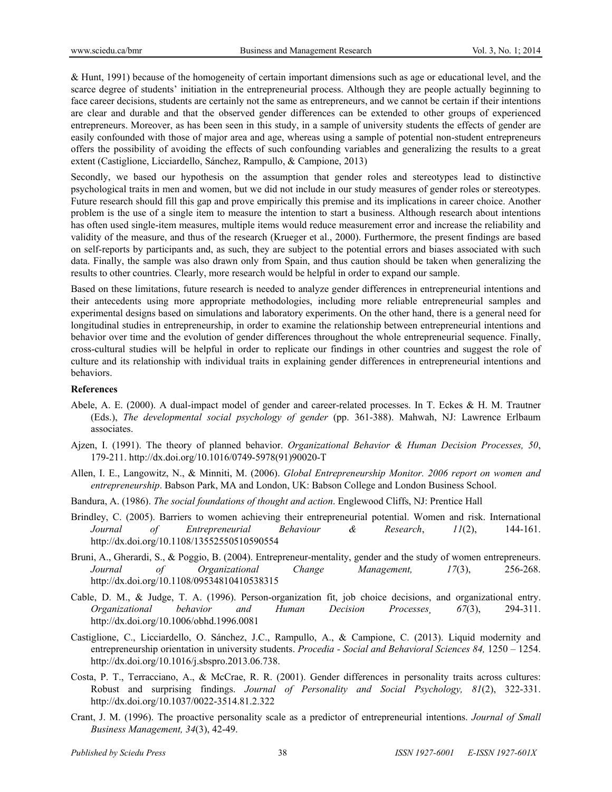& Hunt, 1991) because of the homogeneity of certain important dimensions such as age or educational level, and the scarce degree of students' initiation in the entrepreneurial process. Although they are people actually beginning to face career decisions, students are certainly not the same as entrepreneurs, and we cannot be certain if their intentions are clear and durable and that the observed gender differences can be extended to other groups of experienced entrepreneurs. Moreover, as has been seen in this study, in a sample of university students the effects of gender are easily confounded with those of major area and age, whereas using a sample of potential non-student entrepreneurs offers the possibility of avoiding the effects of such confounding variables and generalizing the results to a great extent (Castiglione, Licciardello, Sánchez, Rampullo, & Campione, 2013)

Secondly, we based our hypothesis on the assumption that gender roles and stereotypes lead to distinctive psychological traits in men and women, but we did not include in our study measures of gender roles or stereotypes. Future research should fill this gap and prove empirically this premise and its implications in career choice. Another problem is the use of a single item to measure the intention to start a business. Although research about intentions has often used single-item measures, multiple items would reduce measurement error and increase the reliability and validity of the measure, and thus of the research (Krueger et al., 2000). Furthermore, the present findings are based on self-reports by participants and, as such, they are subject to the potential errors and biases associated with such data. Finally, the sample was also drawn only from Spain, and thus caution should be taken when generalizing the results to other countries. Clearly, more research would be helpful in order to expand our sample.

Based on these limitations, future research is needed to analyze gender differences in entrepreneurial intentions and their antecedents using more appropriate methodologies, including more reliable entrepreneurial samples and experimental designs based on simulations and laboratory experiments. On the other hand, there is a general need for longitudinal studies in entrepreneurship, in order to examine the relationship between entrepreneurial intentions and behavior over time and the evolution of gender differences throughout the whole entrepreneurial sequence. Finally, cross-cultural studies will be helpful in order to replicate our findings in other countries and suggest the role of culture and its relationship with individual traits in explaining gender differences in entrepreneurial intentions and behaviors.

#### **References**

- Abele, A. E. (2000). A dual-impact model of gender and career-related processes. In T. Eckes & H. M. Trautner (Eds.), *The developmental social psychology of gender* (pp. 361-388). Mahwah, NJ: Lawrence Erlbaum associates.
- Ajzen, I. (1991). The theory of planned behavior. *Organizational Behavior & Human Decision Processes, 50*, 179-211. http://dx.doi.org/10.1016/0749-5978(91)90020-T
- Allen, I. E., Langowitz, N., & Minniti, M. (2006). *Global Entrepreneurship Monitor. 2006 report on women and entrepreneurship*. Babson Park, MA and London, UK: Babson College and London Business School.
- Bandura, A. (1986). *The social foundations of thought and action*. Englewood Cliffs, NJ: Prentice Hall
- Brindley, C. (2005). Barriers to women achieving their entrepreneurial potential. Women and risk. International *Journal of Entrepreneurial Behaviour & Research*, *11*(2), 144-161. http://dx.doi.org/10.1108/13552550510590554
- Bruni, A., Gherardi, S., & Poggio, B. (2004). Entrepreneur-mentality, gender and the study of women entrepreneurs. *Journal of Organizational Change Management, 17*(3), 256-268. http://dx.doi.org/10.1108/09534810410538315
- Cable, D. M., & Judge, T. A. (1996). Person-organization fit, job choice decisions, and organizational entry. *Organizational behavior and Human Decision Processes¸ 67*(3), 294-311. http://dx.doi.org/10.1006/obhd.1996.0081
- Castiglione, C., Licciardello, O. Sánchez, J.C., Rampullo, A., & Campione, C. (2013). Liquid modernity and entrepreneurship orientation in university students. *Procedia - Social and Behavioral Sciences 84,* 1250 – 1254. http://dx.doi.org/10.1016/j.sbspro.2013.06.738.
- Costa, P. T., Terracciano, A., & McCrae, R. R. (2001). Gender differences in personality traits across cultures: Robust and surprising findings. *Journal of Personality and Social Psychology, 81*(2), 322-331. http://dx.doi.org/10.1037/0022-3514.81.2.322
- Crant, J. M. (1996). The proactive personality scale as a predictor of entrepreneurial intentions. *Journal of Small Business Management, 34*(3), 42-49.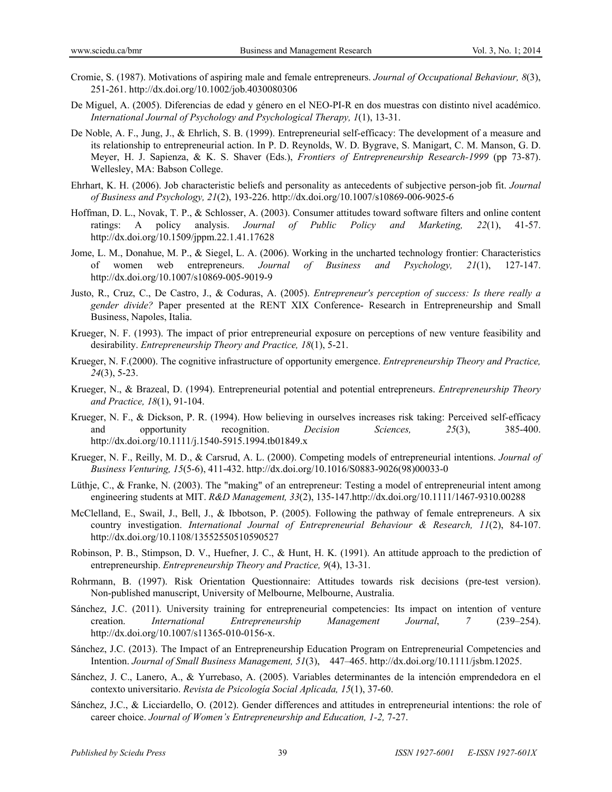- Cromie, S. (1987). Motivations of aspiring male and female entrepreneurs. *Journal of Occupational Behaviour, 8*(3), 251-261. http://dx.doi.org/10.1002/job.4030080306
- De Miguel, A. (2005). Diferencias de edad y género en el NEO-PI-R en dos muestras con distinto nivel académico. *International Journal of Psychology and Psychological Therapy, 1*(1), 13-31.
- De Noble, A. F., Jung, J., & Ehrlich, S. B. (1999). Entrepreneurial self-efficacy: The development of a measure and its relationship to entrepreneurial action. In P. D. Reynolds, W. D. Bygrave, S. Manigart, C. M. Manson, G. D. Meyer, H. J. Sapienza, & K. S. Shaver (Eds.), *Frontiers of Entrepreneurship Research-1999* (pp 73-87). Wellesley, MA: Babson College.
- Ehrhart, K. H. (2006). Job characteristic beliefs and personality as antecedents of subjective person-job fit. *Journal of Business and Psychology, 21*(2), 193-226. http://dx.doi.org/10.1007/s10869-006-9025-6
- Hoffman, D. L., Novak, T. P., & Schlosser, A. (2003). Consumer attitudes toward software filters and online content ratings: A policy analysis. *Journal of Public Policy and Marketing, 22*(1), 41-57. http://dx.doi.org/10.1509/jppm.22.1.41.17628
- Jome, L. M., Donahue, M. P., & Siegel, L. A. (2006). Working in the uncharted technology frontier: Characteristics of women web entrepreneurs. *Journal of Business and Psychology, 21*(1), 127-147. http://dx.doi.org/10.1007/s10869-005-9019-9
- Justo, R., Cruz, C., De Castro, J., & Coduras, A. (2005). *Entrepreneur's perception of success: Is there really a gender divide?* Paper presented at the RENT XIX Conference- Research in Entrepreneurship and Small Business, Napoles, Italia.
- Krueger, N. F. (1993). The impact of prior entrepreneurial exposure on perceptions of new venture feasibility and desirability. *Entrepreneurship Theory and Practice, 18*(1), 5-21.
- Krueger, N. F.(2000). The cognitive infrastructure of opportunity emergence. *Entrepreneurship Theory and Practice, 24*(3), 5-23.
- Krueger, N., & Brazeal, D. (1994). Entrepreneurial potential and potential entrepreneurs. *Entrepreneurship Theory and Practice, 18*(1), 91-104.
- Krueger, N. F., & Dickson, P. R. (1994). How believing in ourselves increases risk taking: Perceived self-efficacy and opportunity recognition. *Decision Sciences, 25*(3), 385-400. http://dx.doi.org/10.1111/j.1540-5915.1994.tb01849.x
- Krueger, N. F., Reilly, M. D., & Carsrud, A. L. (2000). Competing models of entrepreneurial intentions. *Journal of Business Venturing, 15*(5-6), 411-432. http://dx.doi.org/10.1016/S0883-9026(98)00033-0
- Lüthje, C., & Franke, N. (2003). The "making" of an entrepreneur: Testing a model of entrepreneurial intent among engineering students at MIT. *R&D Management, 33*(2), 135-147.http://dx.doi.org/10.1111/1467-9310.00288
- McClelland, E., Swail, J., Bell, J., & Ibbotson, P. (2005). Following the pathway of female entrepreneurs. A six country investigation. *International Journal of Entrepreneurial Behaviour & Research, 11*(2), 84-107. http://dx.doi.org/10.1108/13552550510590527
- Robinson, P. B., Stimpson, D. V., Huefner, J. C., & Hunt, H. K. (1991). An attitude approach to the prediction of entrepreneurship. *Entrepreneurship Theory and Practice, 9*(4), 13-31.
- Rohrmann, B. (1997). Risk Orientation Questionnaire: Attitudes towards risk decisions (pre-test version). Non-published manuscript, University of Melbourne, Melbourne, Australia.
- Sánchez, J.C. (2011). University training for entrepreneurial competencies: Its impact on intention of venture creation. *International Entrepreneurship Management Journal*, *7* (239–254). http://dx.doi.org/10.1007/s11365-010-0156-x.
- Sánchez, J.C. (2013). The Impact of an Entrepreneurship Education Program on Entrepreneurial Competencies and Intention. *Journal of Small Business Management, 51*(3), 447–465. http://dx.doi.org/10.1111/jsbm.12025.
- Sánchez, J. C., Lanero, A., & Yurrebaso, A. (2005). Variables determinantes de la intención emprendedora en el contexto universitario. *Revista de Psicología Social Aplicada, 15*(1), 37-60.
- Sánchez, J.C., & Licciardello, O. (2012). Gender differences and attitudes in entrepreneurial intentions: the role of career choice. *Journal of Women's Entrepreneurship and Education, 1-2,* 7-27.